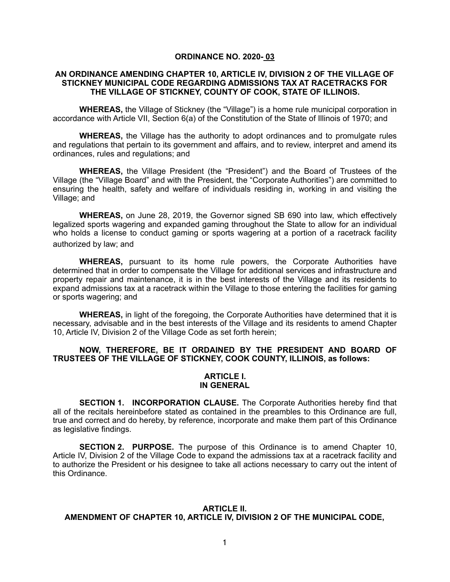### **ORDINANCE NO. 2020- 03**

## **AN ORDINANCE AMENDING CHAPTER 10, ARTICLE IV, DIVISION 2 OF THE VILLAGE OF STICKNEY MUNICIPAL CODE REGARDING ADMISSIONS TAX AT RACETRACKS FOR THE VILLAGE OF STICKNEY, COUNTY OF COOK, STATE OF ILLINOIS.**

**WHEREAS,** the Village of Stickney (the "Village") is a home rule municipal corporation in accordance with Article VII, Section 6(a) of the Constitution of the State of Illinois of 1970; and

**WHEREAS,** the Village has the authority to adopt ordinances and to promulgate rules and regulations that pertain to its government and affairs, and to review, interpret and amend its ordinances, rules and regulations; and

**WHEREAS,** the Village President (the "President") and the Board of Trustees of the Village (the "Village Board" and with the President, the "Corporate Authorities") are committed to ensuring the health, safety and welfare of individuals residing in, working in and visiting the Village; and

**WHEREAS,** on June 28, 2019, the Governor signed SB 690 into law, which effectively legalized sports wagering and expanded gaming throughout the State to allow for an individual who holds a license to conduct gaming or sports wagering at a portion of a racetrack facility authorized by law; and

**WHEREAS,** pursuant to its home rule powers, the Corporate Authorities have determined that in order to compensate the Village for additional services and infrastructure and property repair and maintenance, it is in the best interests of the Village and its residents to expand admissions tax at a racetrack within the Village to those entering the facilities for gaming or sports wagering; and

**WHEREAS,** in light of the foregoing, the Corporate Authorities have determined that it is necessary, advisable and in the best interests of the Village and its residents to amend Chapter 10, Article IV, Division 2 of the Village Code as set forth herein;

## **NOW, THEREFORE, BE IT ORDAINED BY THE PRESIDENT AND BOARD OF TRUSTEES OF THE VILLAGE OF STICKNEY, COOK COUNTY, ILLINOIS, as follows:**

#### **ARTICLE I. IN GENERAL**

 **SECTION 1. INCORPORATION CLAUSE.** The Corporate Authorities hereby find that all of the recitals hereinbefore stated as contained in the preambles to this Ordinance are full, true and correct and do hereby, by reference, incorporate and make them part of this Ordinance as legislative findings.

 **SECTION 2. PURPOSE.** The purpose of this Ordinance is to amend Chapter 10, Article IV, Division 2 of the Village Code to expand the admissions tax at a racetrack facility and to authorize the President or his designee to take all actions necessary to carry out the intent of this Ordinance.

#### **ARTICLE II.**

# **AMENDMENT OF CHAPTER 10, ARTICLE IV, DIVISION 2 OF THE MUNICIPAL CODE,**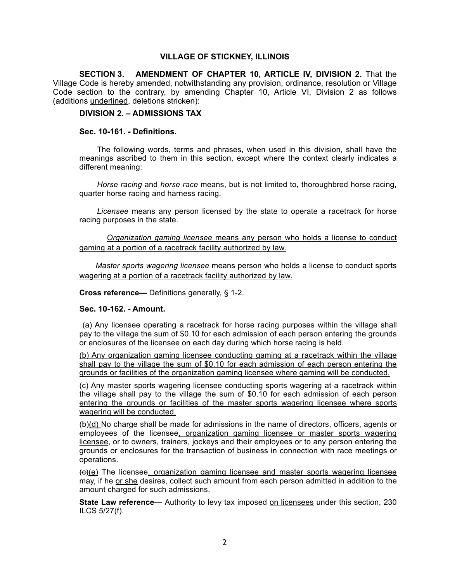# **VILLAGE OF STICKNEY, ILLINOIS**

 **SECTION 3. AMENDMENT OF CHAPTER 10, ARTICLE IV, DIVISION 2.** That the Village Code is hereby amended, notwithstanding any provision, ordinance, resolution or Village Code section to the contrary, by amending Chapter 10, Article VI, Division 2 as follows (additions underlined, deletions stricken):

**DIVISION 2. – ADMISSIONS TAX** 

## **Sec. 10-161. - Definitions.**

The following words, terms and phrases, when used in this division, shall have the meanings ascribed to them in this section, except where the context clearly indicates a different meaning:

*Horse racing* and *horse race* means, but is not limited to, thoroughbred horse racing, quarter horse racing and harness racing.

*Licensee* means any person licensed by the state to operate a racetrack for horse racing purposes in the state.

 *Organization gaming licensee* means any person who holds a license to conduct gaming at a portion of a racetrack facility authorized by law.

 *Master sports wagering licensee* means person who holds a license to conduct sports wagering at a portion of a racetrack facility authorized by law.

**Cross reference—** Definitions generally, § 1-2.

#### **Sec. 10-162. - Amount.**

 (a) Any licensee operating a racetrack for horse racing purposes within the village shall pay to the village the sum of \$0.10 for each admission of each person entering the grounds or enclosures of the licensee on each day during which horse racing is held.

(b) Any organization gaming licensee conducting gaming at a racetrack within the village shall pay to the village the sum of \$0.10 for each admission of each person entering the grounds or facilities of the organization gaming licensee where gaming will be conducted.

(c) Any master sports wagering licensee conducting sports wagering at a racetrack within the village shall pay to the village the sum of \$0.10 for each admission of each person entering the grounds or facilities of the master sports wagering licensee where sports wagering will be conducted.

(b)(d) No charge shall be made for admissions in the name of directors, officers, agents or employees of the licensee, organization gaming licensee or master sports wagering licensee, or to owners, trainers, jockeys and their employees or to any person entering the grounds or enclosures for the transaction of business in connection with race meetings or operations.

(c)(e) The licensee, organization gaming licensee and master sports wagering licensee may, if he or she desires, collect such amount from each person admitted in addition to the amount charged for such admissions.

**State Law reference—** Authority to levy tax imposed on licensees under this section, 230 ILCS 5/27(f).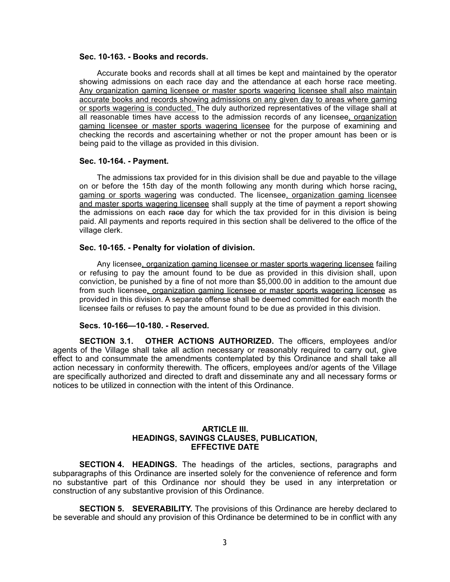#### **Sec. 10-163. - Books and records.**

Accurate books and records shall at all times be kept and maintained by the operator showing admissions on each race day and the attendance at each horse race meeting. Any organization gaming licensee or master sports wagering licensee shall also maintain accurate books and records showing admissions on any given day to areas where gaming or sports wagering is conducted. The duly authorized representatives of the village shall at all reasonable times have access to the admission records of any licensee, organization gaming licensee or master sports wagering licensee for the purpose of examining and checking the records and ascertaining whether or not the proper amount has been or is being paid to the village as provided in this division.

#### **Sec. 10-164. - Payment.**

The admissions tax provided for in this division shall be due and payable to the village on or before the 15th day of the month following any month during which horse racing, gaming or sports wagering was conducted. The licensee, organization gaming licensee and master sports wagering licensee shall supply at the time of payment a report showing the admissions on each race day for which the tax provided for in this division is being paid. All payments and reports required in this section shall be delivered to the office of the village clerk.

### **Sec. 10-165. - Penalty for violation of division.**

Any licensee, organization gaming licensee or master sports wagering licensee failing or refusing to pay the amount found to be due as provided in this division shall, upon conviction, be punished by a fine of not more than \$5,000.00 in addition to the amount due from such licensee, organization gaming licensee or master sports wagering licensee as provided in this division. A separate offense shall be deemed committed for each month the licensee fails or refuses to pay the amount found to be due as provided in this division.

#### **Secs. 10-166—10-180. - Reserved.**

 **SECTION 3.1. OTHER ACTIONS AUTHORIZED.** The officers, employees and/or agents of the Village shall take all action necessary or reasonably required to carry out, give effect to and consummate the amendments contemplated by this Ordinance and shall take all action necessary in conformity therewith. The officers, employees and/or agents of the Village are specifically authorized and directed to draft and disseminate any and all necessary forms or notices to be utilized in connection with the intent of this Ordinance.

## **ARTICLE III. HEADINGS, SAVINGS CLAUSES, PUBLICATION, EFFECTIVE DATE**

 **SECTION 4. HEADINGS.** The headings of the articles, sections, paragraphs and subparagraphs of this Ordinance are inserted solely for the convenience of reference and form no substantive part of this Ordinance nor should they be used in any interpretation or construction of any substantive provision of this Ordinance.

 **SECTION 5. SEVERABILITY.** The provisions of this Ordinance are hereby declared to be severable and should any provision of this Ordinance be determined to be in conflict with any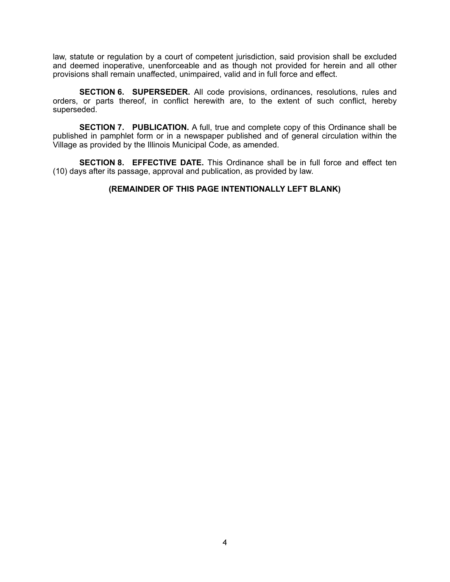law, statute or regulation by a court of competent jurisdiction, said provision shall be excluded and deemed inoperative, unenforceable and as though not provided for herein and all other provisions shall remain unaffected, unimpaired, valid and in full force and effect.

 **SECTION 6. SUPERSEDER.** All code provisions, ordinances, resolutions, rules and orders, or parts thereof, in conflict herewith are, to the extent of such conflict, hereby superseded.

 **SECTION 7. PUBLICATION.** A full, true and complete copy of this Ordinance shall be published in pamphlet form or in a newspaper published and of general circulation within the Village as provided by the Illinois Municipal Code, as amended.

 **SECTION 8. EFFECTIVE DATE.** This Ordinance shall be in full force and effect ten (10) days after its passage, approval and publication, as provided by law.

# **(REMAINDER OF THIS PAGE INTENTIONALLY LEFT BLANK)**